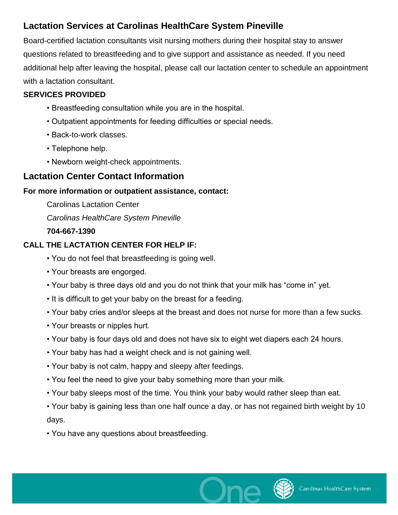## **Lactation Services at Carolinas HealthCare System Pineville**

Board-certified lactation consultants visit nursing mothers during their hospital stay to answer questions related to breastfeeding and to give support and assistance as needed. If you need additional help after leaving the hospital, please call our lactation center to schedule an appointment with a lactation consultant.

#### **SERVICES PROVIDED**

- Breastfeeding consultation while you are in the hospital.
- Outpatient appointments for feeding difficulties or special needs.
- Back-to-work classes.
- Telephone help.
- Newborn weight-check appointments.

## **Lactation Center Contact Information**

#### **For more information or outpatient assistance, contact:**

Carolinas Lactation Center

*Carolinas HealthCare System Pineville*

#### **704-667-1390**

### **CALL THE LACTATION CENTER FOR HELP IF:**

- You do not feel that breastfeeding is going well.
- Your breasts are engorged.
- Your baby is three days old and you do not think that your milk has "come in" yet.
- It is difficult to get your baby on the breast for a feeding.
- Your baby cries and/or sleeps at the breast and does not nurse for more than a few sucks.
- Your breasts or nipples hurt.
- Your baby is four days old and does not have six to eight wet diapers each 24 hours.
- Your baby has had a weight check and is not gaining well.
- Your baby is not calm, happy and sleepy after feedings.
- You feel the need to give your baby something more than your milk.
- Your baby sleeps most of the time. You think your baby would rather sleep than eat.

• Your baby is gaining less than one half ounce a day, or has not regained birth weight by 10 days.

• You have any questions about breastfeeding.

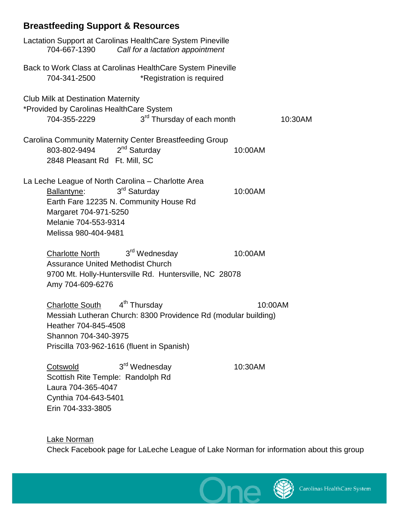# **Breastfeeding Support & Resources**

Erin 704-333-3805

| Lactation Support at Carolinas HealthCare System Pineville<br>704-667-1390<br>Call for a lactation appointment                                                                                                                |  |  |
|-------------------------------------------------------------------------------------------------------------------------------------------------------------------------------------------------------------------------------|--|--|
| Back to Work Class at Carolinas HealthCare System Pineville<br>*Registration is required<br>704-341-2500                                                                                                                      |  |  |
| <b>Club Milk at Destination Maternity</b><br>*Provided by Carolinas HealthCare System                                                                                                                                         |  |  |
| 3 <sup>rd</sup> Thursday of each month<br>704-355-2229<br>10:30AM                                                                                                                                                             |  |  |
| Carolina Community Maternity Center Breastfeeding Group<br>$2nd$ Saturday<br>803-802-9494<br>10:00AM<br>2848 Pleasant Rd Ft. Mill, SC                                                                                         |  |  |
| La Leche League of North Carolina - Charlotte Area<br>3 <sup>rd</sup> Saturday<br>Ballantyne:<br>10:00AM<br>Earth Fare 12235 N. Community House Rd<br>Margaret 704-971-5250<br>Melanie 704-553-9314<br>Melissa 980-404-9481   |  |  |
| 3 <sup>rd</sup> Wednesday<br>10:00AM<br><b>Charlotte North</b><br><b>Assurance United Methodist Church</b><br>9700 Mt. Holly-Huntersville Rd. Huntersville, NC 28078<br>Amy 704-609-6276                                      |  |  |
| 4 <sup>th</sup> Thursday<br><b>Charlotte South</b><br>10:00AM<br>Messiah Lutheran Church: 8300 Providence Rd (modular building)<br>Heather 704-845-4508<br>Shannon 704-340-3975<br>Priscilla 703-962-1616 (fluent in Spanish) |  |  |
| 3 <sup>rd</sup> Wednesday<br>Cotswold<br>10:30AM<br>Scottish Rite Temple: Randolph Rd<br>Laura 704-365-4047<br>Cynthia 704-643-5401                                                                                           |  |  |

Lake Norman Check Facebook page for LaLeche League of Lake Norman for information about this group